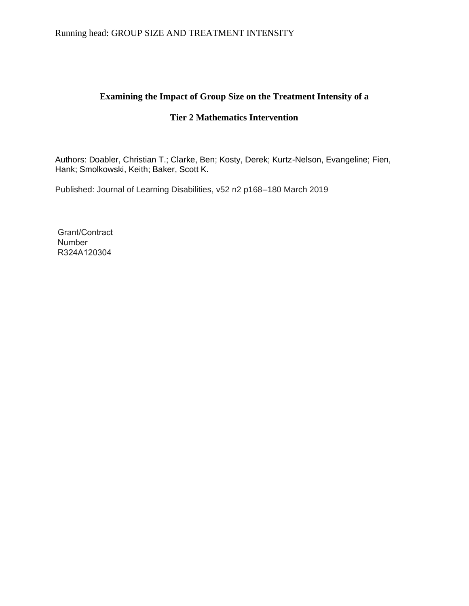Running head: GROUP SIZE AND TREATMENT INTENSITY

# **Examining the Impact of Group Size on the Treatment Intensity of a**

# **Tier 2 Mathematics Intervention**

Authors: Doabler, Christian T.; Clarke, Ben; Kosty, Derek; Kurtz-Nelson, Evangeline; Fien, Hank; Smolkowski, Keith; Baker, Scott K.

Published: Journal of Learning Disabilities, v52 n2 p168–180 March 2019

Grant/Contract **Number** R324A120304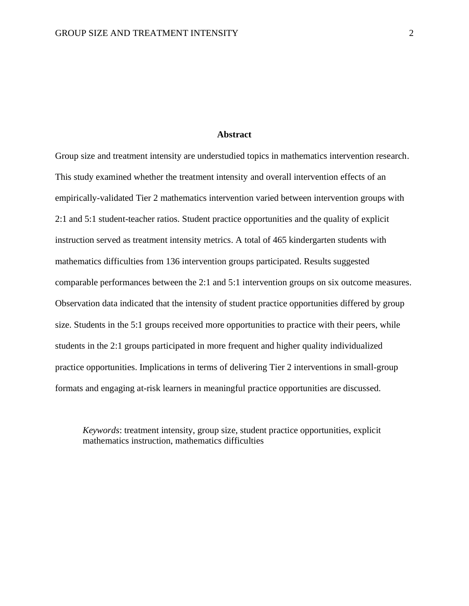# **Abstract**

Group size and treatment intensity are understudied topics in mathematics intervention research. This study examined whether the treatment intensity and overall intervention effects of an empirically-validated Tier 2 mathematics intervention varied between intervention groups with 2:1 and 5:1 student-teacher ratios. Student practice opportunities and the quality of explicit instruction served as treatment intensity metrics. A total of 465 kindergarten students with mathematics difficulties from 136 intervention groups participated. Results suggested comparable performances between the 2:1 and 5:1 intervention groups on six outcome measures. Observation data indicated that the intensity of student practice opportunities differed by group size. Students in the 5:1 groups received more opportunities to practice with their peers, while students in the 2:1 groups participated in more frequent and higher quality individualized practice opportunities. Implications in terms of delivering Tier 2 interventions in small-group formats and engaging at-risk learners in meaningful practice opportunities are discussed.

*Keywords*: treatment intensity, group size, student practice opportunities, explicit mathematics instruction, mathematics difficulties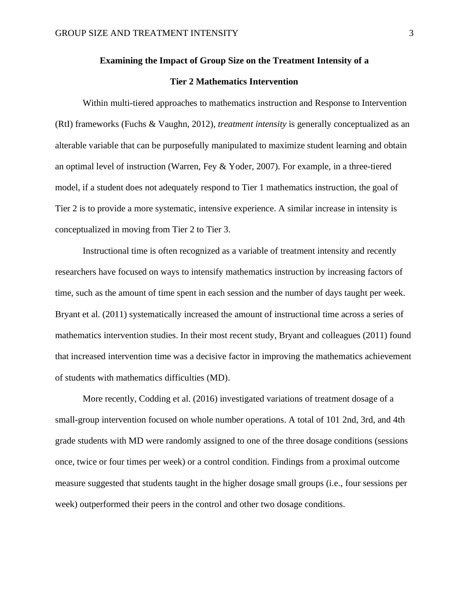# **Examining the Impact of Group Size on the Treatment Intensity of a**

# **Tier 2 Mathematics Intervention**

Within multi-tiered approaches to mathematics instruction and Response to Intervention (RtI) frameworks (Fuchs & Vaughn, 2012), *treatment intensity* is generally conceptualized as an alterable variable that can be purposefully manipulated to maximize student learning and obtain an optimal level of instruction (Warren, Fey & Yoder, 2007). For example, in a three-tiered model, if a student does not adequately respond to Tier 1 mathematics instruction, the goal of Tier 2 is to provide a more systematic, intensive experience. A similar increase in intensity is conceptualized in moving from Tier 2 to Tier 3.

Instructional time is often recognized as a variable of treatment intensity and recently researchers have focused on ways to intensify mathematics instruction by increasing factors of time, such as the amount of time spent in each session and the number of days taught per week. Bryant et al. (2011) systematically increased the amount of instructional time across a series of mathematics intervention studies. In their most recent study, Bryant and colleagues (2011) found that increased intervention time was a decisive factor in improving the mathematics achievement of students with mathematics difficulties (MD).

More recently, Codding et al. (2016) investigated variations of treatment dosage of a small-group intervention focused on whole number operations. A total of 101 2nd, 3rd, and 4th grade students with MD were randomly assigned to one of the three dosage conditions (sessions once, twice or four times per week) or a control condition. Findings from a proximal outcome measure suggested that students taught in the higher dosage small groups (i.e., four sessions per week) outperformed their peers in the control and other two dosage conditions.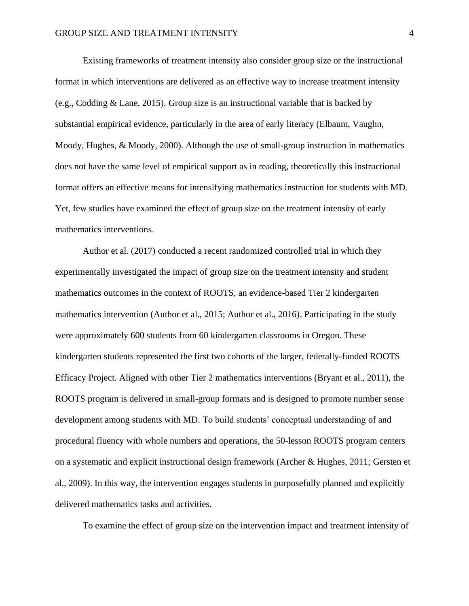Existing frameworks of treatment intensity also consider group size or the instructional format in which interventions are delivered as an effective way to increase treatment intensity (e.g., Codding & Lane, 2015). Group size is an instructional variable that is backed by substantial empirical evidence, particularly in the area of early literacy (Elbaum, Vaughn, Moody, Hughes, & Moody, 2000). Although the use of small-group instruction in mathematics does not have the same level of empirical support as in reading, theoretically this instructional format offers an effective means for intensifying mathematics instruction for students with MD. Yet, few studies have examined the effect of group size on the treatment intensity of early mathematics interventions.

Author et al. (2017) conducted a recent randomized controlled trial in which they experimentally investigated the impact of group size on the treatment intensity and student mathematics outcomes in the context of ROOTS, an evidence-based Tier 2 kindergarten mathematics intervention (Author et al., 2015; Author et al., 2016). Participating in the study were approximately 600 students from 60 kindergarten classrooms in Oregon. These kindergarten students represented the first two cohorts of the larger, federally-funded ROOTS Efficacy Project. Aligned with other Tier 2 mathematics interventions (Bryant et al., 2011), the ROOTS program is delivered in small-group formats and is designed to promote number sense development among students with MD. To build students' conceptual understanding of and procedural fluency with whole numbers and operations, the 50-lesson ROOTS program centers on a systematic and explicit instructional design framework (Archer & Hughes, 2011; Gersten et al., 2009). In this way, the intervention engages students in purposefully planned and explicitly delivered mathematics tasks and activities.

To examine the effect of group size on the intervention impact and treatment intensity of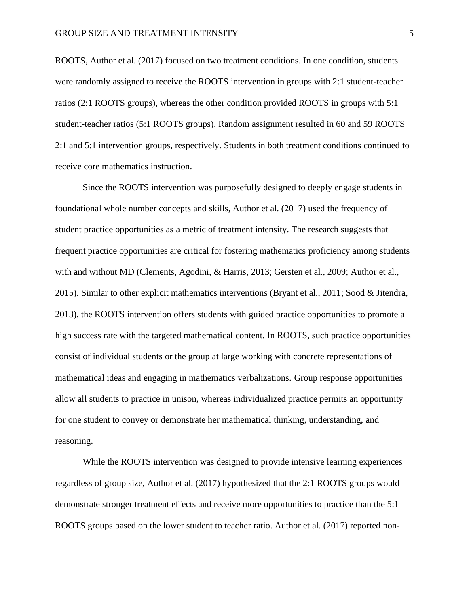ROOTS, Author et al. (2017) focused on two treatment conditions. In one condition, students were randomly assigned to receive the ROOTS intervention in groups with 2:1 student-teacher ratios (2:1 ROOTS groups), whereas the other condition provided ROOTS in groups with 5:1 student-teacher ratios (5:1 ROOTS groups). Random assignment resulted in 60 and 59 ROOTS 2:1 and 5:1 intervention groups, respectively. Students in both treatment conditions continued to receive core mathematics instruction.

Since the ROOTS intervention was purposefully designed to deeply engage students in foundational whole number concepts and skills, Author et al. (2017) used the frequency of student practice opportunities as a metric of treatment intensity. The research suggests that frequent practice opportunities are critical for fostering mathematics proficiency among students with and without MD (Clements, Agodini, & Harris, 2013; Gersten et al., 2009; Author et al., 2015). Similar to other explicit mathematics interventions (Bryant et al., 2011; Sood & Jitendra, 2013), the ROOTS intervention offers students with guided practice opportunities to promote a high success rate with the targeted mathematical content. In ROOTS, such practice opportunities consist of individual students or the group at large working with concrete representations of mathematical ideas and engaging in mathematics verbalizations. Group response opportunities allow all students to practice in unison, whereas individualized practice permits an opportunity for one student to convey or demonstrate her mathematical thinking, understanding, and reasoning.

While the ROOTS intervention was designed to provide intensive learning experiences regardless of group size, Author et al. (2017) hypothesized that the 2:1 ROOTS groups would demonstrate stronger treatment effects and receive more opportunities to practice than the 5:1 ROOTS groups based on the lower student to teacher ratio. Author et al. (2017) reported non-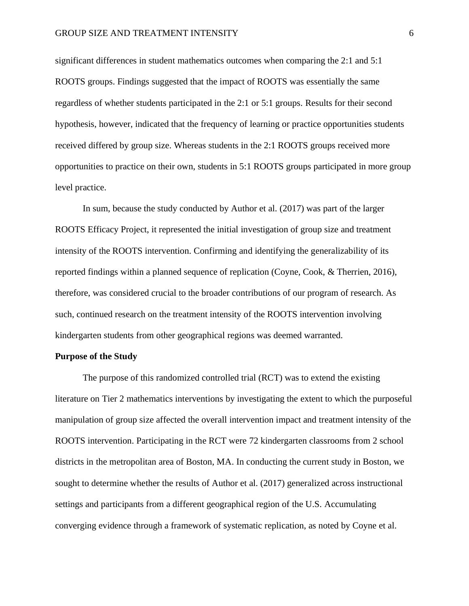significant differences in student mathematics outcomes when comparing the 2:1 and 5:1 ROOTS groups. Findings suggested that the impact of ROOTS was essentially the same regardless of whether students participated in the 2:1 or 5:1 groups. Results for their second hypothesis, however, indicated that the frequency of learning or practice opportunities students received differed by group size. Whereas students in the 2:1 ROOTS groups received more opportunities to practice on their own, students in 5:1 ROOTS groups participated in more group level practice.

In sum, because the study conducted by Author et al. (2017) was part of the larger ROOTS Efficacy Project, it represented the initial investigation of group size and treatment intensity of the ROOTS intervention. Confirming and identifying the generalizability of its reported findings within a planned sequence of replication (Coyne, Cook, & Therrien, 2016), therefore, was considered crucial to the broader contributions of our program of research. As such, continued research on the treatment intensity of the ROOTS intervention involving kindergarten students from other geographical regions was deemed warranted.

# **Purpose of the Study**

The purpose of this randomized controlled trial (RCT) was to extend the existing literature on Tier 2 mathematics interventions by investigating the extent to which the purposeful manipulation of group size affected the overall intervention impact and treatment intensity of the ROOTS intervention. Participating in the RCT were 72 kindergarten classrooms from 2 school districts in the metropolitan area of Boston, MA. In conducting the current study in Boston, we sought to determine whether the results of Author et al. (2017) generalized across instructional settings and participants from a different geographical region of the U.S. Accumulating converging evidence through a framework of systematic replication, as noted by Coyne et al.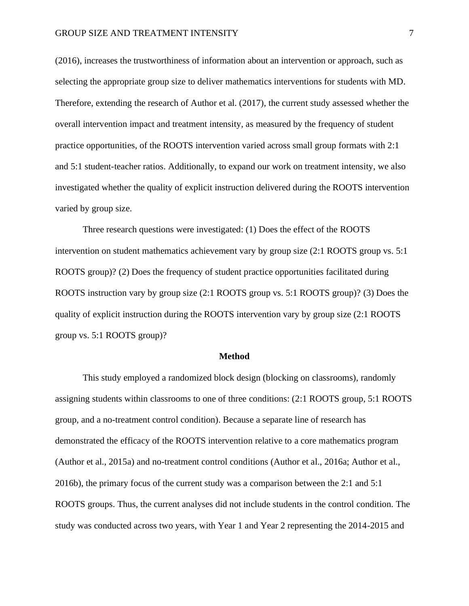(2016), increases the trustworthiness of information about an intervention or approach, such as selecting the appropriate group size to deliver mathematics interventions for students with MD. Therefore, extending the research of Author et al. (2017), the current study assessed whether the overall intervention impact and treatment intensity, as measured by the frequency of student practice opportunities, of the ROOTS intervention varied across small group formats with 2:1 and 5:1 student-teacher ratios. Additionally, to expand our work on treatment intensity, we also investigated whether the quality of explicit instruction delivered during the ROOTS intervention varied by group size.

Three research questions were investigated: (1) Does the effect of the ROOTS intervention on student mathematics achievement vary by group size (2:1 ROOTS group vs. 5:1 ROOTS group)? (2) Does the frequency of student practice opportunities facilitated during ROOTS instruction vary by group size (2:1 ROOTS group vs. 5:1 ROOTS group)? (3) Does the quality of explicit instruction during the ROOTS intervention vary by group size (2:1 ROOTS group vs. 5:1 ROOTS group)?

#### **Method**

This study employed a randomized block design (blocking on classrooms), randomly assigning students within classrooms to one of three conditions: (2:1 ROOTS group, 5:1 ROOTS group, and a no-treatment control condition). Because a separate line of research has demonstrated the efficacy of the ROOTS intervention relative to a core mathematics program (Author et al., 2015a) and no-treatment control conditions (Author et al., 2016a; Author et al., 2016b), the primary focus of the current study was a comparison between the 2:1 and 5:1 ROOTS groups. Thus, the current analyses did not include students in the control condition. The study was conducted across two years, with Year 1 and Year 2 representing the 2014-2015 and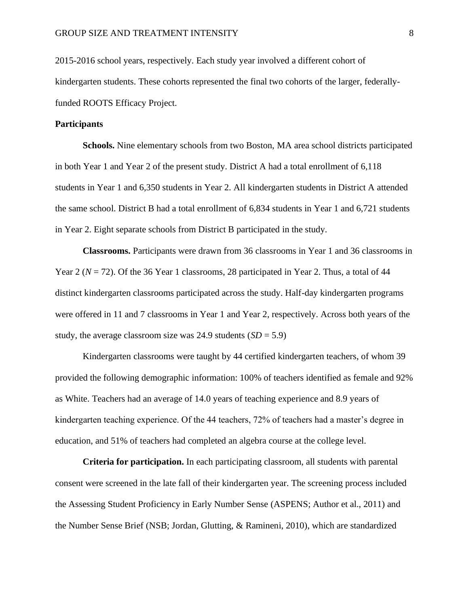2015-2016 school years, respectively. Each study year involved a different cohort of kindergarten students. These cohorts represented the final two cohorts of the larger, federallyfunded ROOTS Efficacy Project.

# **Participants**

**Schools.** Nine elementary schools from two Boston, MA area school districts participated in both Year 1 and Year 2 of the present study. District A had a total enrollment of 6,118 students in Year 1 and 6,350 students in Year 2. All kindergarten students in District A attended the same school. District B had a total enrollment of 6,834 students in Year 1 and 6,721 students in Year 2. Eight separate schools from District B participated in the study.

**Classrooms.** Participants were drawn from 36 classrooms in Year 1 and 36 classrooms in Year 2 ( $N = 72$ ). Of the 36 Year 1 classrooms, 28 participated in Year 2. Thus, a total of 44 distinct kindergarten classrooms participated across the study. Half-day kindergarten programs were offered in 11 and 7 classrooms in Year 1 and Year 2, respectively. Across both years of the study, the average classroom size was 24.9 students  $(SD = 5.9)$ 

Kindergarten classrooms were taught by 44 certified kindergarten teachers, of whom 39 provided the following demographic information: 100% of teachers identified as female and 92% as White. Teachers had an average of 14.0 years of teaching experience and 8.9 years of kindergarten teaching experience. Of the 44 teachers, 72% of teachers had a master's degree in education, and 51% of teachers had completed an algebra course at the college level.

**Criteria for participation.** In each participating classroom, all students with parental consent were screened in the late fall of their kindergarten year. The screening process included the Assessing Student Proficiency in Early Number Sense (ASPENS; Author et al., 2011) and the Number Sense Brief (NSB; Jordan, Glutting, & Ramineni, 2010), which are standardized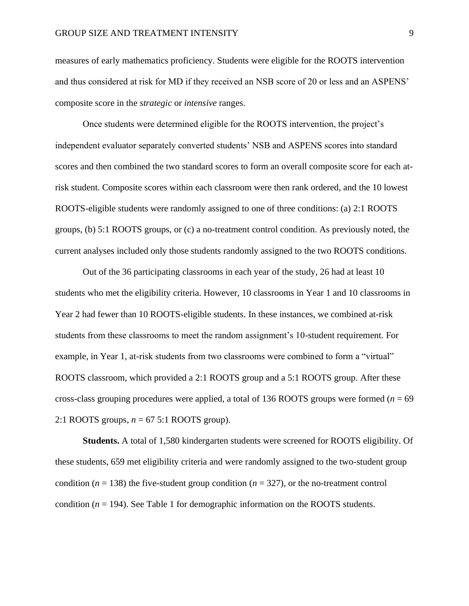measures of early mathematics proficiency. Students were eligible for the ROOTS intervention and thus considered at risk for MD if they received an NSB score of 20 or less and an ASPENS' composite score in the *strategic* or *intensive* ranges.

Once students were determined eligible for the ROOTS intervention, the project's independent evaluator separately converted students' NSB and ASPENS scores into standard scores and then combined the two standard scores to form an overall composite score for each atrisk student. Composite scores within each classroom were then rank ordered, and the 10 lowest ROOTS-eligible students were randomly assigned to one of three conditions: (a) 2:1 ROOTS groups, (b) 5:1 ROOTS groups, or (c) a no-treatment control condition. As previously noted, the current analyses included only those students randomly assigned to the two ROOTS conditions.

Out of the 36 participating classrooms in each year of the study, 26 had at least 10 students who met the eligibility criteria. However, 10 classrooms in Year 1 and 10 classrooms in Year 2 had fewer than 10 ROOTS-eligible students. In these instances, we combined at-risk students from these classrooms to meet the random assignment's 10-student requirement. For example, in Year 1, at-risk students from two classrooms were combined to form a "virtual" ROOTS classroom, which provided a 2:1 ROOTS group and a 5:1 ROOTS group. After these cross-class grouping procedures were applied, a total of 136 ROOTS groups were formed (*n* = 69 2:1 ROOTS groups, *n* = 67 5:1 ROOTS group).

**Students.** A total of 1,580 kindergarten students were screened for ROOTS eligibility. Of these students, 659 met eligibility criteria and were randomly assigned to the two-student group condition ( $n = 138$ ) the five-student group condition ( $n = 327$ ), or the no-treatment control condition (*n* = 194). See Table 1 for demographic information on the ROOTS students.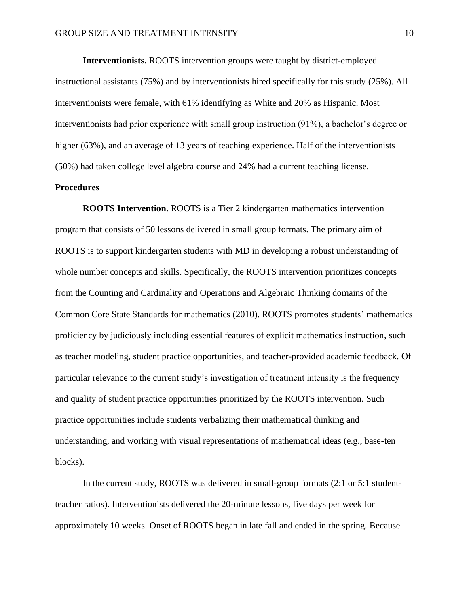**Interventionists.** ROOTS intervention groups were taught by district-employed instructional assistants (75%) and by interventionists hired specifically for this study (25%). All interventionists were female, with 61% identifying as White and 20% as Hispanic. Most interventionists had prior experience with small group instruction (91%), a bachelor's degree or higher (63%), and an average of 13 years of teaching experience. Half of the interventionists (50%) had taken college level algebra course and 24% had a current teaching license.

# **Procedures**

**ROOTS Intervention.** ROOTS is a Tier 2 kindergarten mathematics intervention program that consists of 50 lessons delivered in small group formats. The primary aim of ROOTS is to support kindergarten students with MD in developing a robust understanding of whole number concepts and skills. Specifically, the ROOTS intervention prioritizes concepts from the Counting and Cardinality and Operations and Algebraic Thinking domains of the Common Core State Standards for mathematics (2010). ROOTS promotes students' mathematics proficiency by judiciously including essential features of explicit mathematics instruction, such as teacher modeling, student practice opportunities, and teacher-provided academic feedback. Of particular relevance to the current study's investigation of treatment intensity is the frequency and quality of student practice opportunities prioritized by the ROOTS intervention. Such practice opportunities include students verbalizing their mathematical thinking and understanding, and working with visual representations of mathematical ideas (e.g., base-ten blocks).

In the current study, ROOTS was delivered in small-group formats (2:1 or 5:1 studentteacher ratios). Interventionists delivered the 20-minute lessons, five days per week for approximately 10 weeks. Onset of ROOTS began in late fall and ended in the spring. Because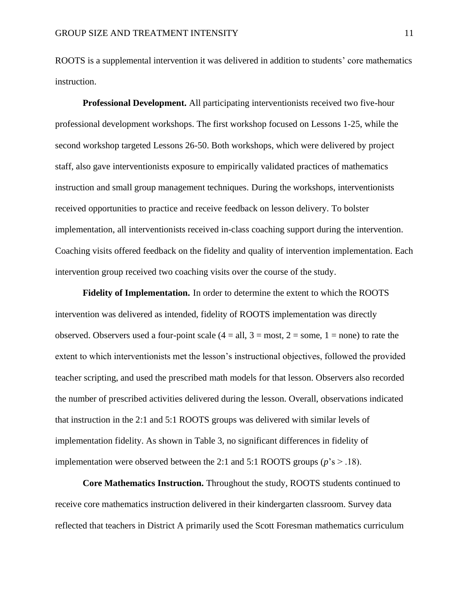ROOTS is a supplemental intervention it was delivered in addition to students' core mathematics instruction.

**Professional Development.** All participating interventionists received two five-hour professional development workshops. The first workshop focused on Lessons 1-25, while the second workshop targeted Lessons 26-50. Both workshops, which were delivered by project staff, also gave interventionists exposure to empirically validated practices of mathematics instruction and small group management techniques. During the workshops, interventionists received opportunities to practice and receive feedback on lesson delivery. To bolster implementation, all interventionists received in-class coaching support during the intervention. Coaching visits offered feedback on the fidelity and quality of intervention implementation. Each intervention group received two coaching visits over the course of the study.

**Fidelity of Implementation.** In order to determine the extent to which the ROOTS intervention was delivered as intended, fidelity of ROOTS implementation was directly observed. Observers used a four-point scale  $(4 = all, 3 = most, 2 = some, 1 = none)$  to rate the extent to which interventionists met the lesson's instructional objectives, followed the provided teacher scripting, and used the prescribed math models for that lesson. Observers also recorded the number of prescribed activities delivered during the lesson. Overall, observations indicated that instruction in the 2:1 and 5:1 ROOTS groups was delivered with similar levels of implementation fidelity. As shown in Table 3, no significant differences in fidelity of implementation were observed between the 2:1 and 5:1 ROOTS groups ( $p$ 's  $>$  .18).

**Core Mathematics Instruction.** Throughout the study, ROOTS students continued to receive core mathematics instruction delivered in their kindergarten classroom. Survey data reflected that teachers in District A primarily used the Scott Foresman mathematics curriculum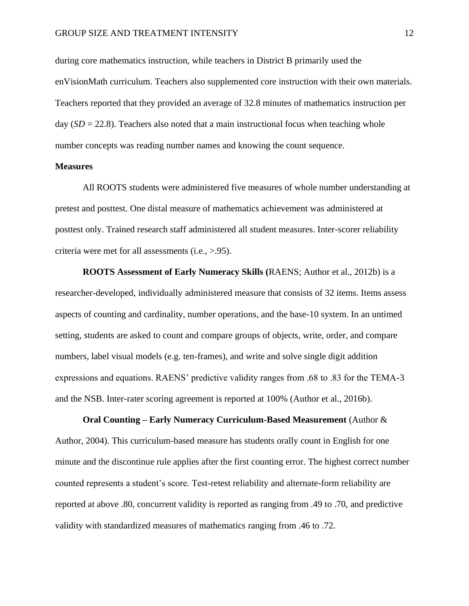during core mathematics instruction, while teachers in District B primarily used the enVisionMath curriculum. Teachers also supplemented core instruction with their own materials. Teachers reported that they provided an average of 32.8 minutes of mathematics instruction per day  $(SD = 22.8)$ . Teachers also noted that a main instructional focus when teaching whole number concepts was reading number names and knowing the count sequence.

# **Measures**

All ROOTS students were administered five measures of whole number understanding at pretest and posttest. One distal measure of mathematics achievement was administered at posttest only. Trained research staff administered all student measures. Inter-scorer reliability criteria were met for all assessments (i.e., >.95).

**ROOTS Assessment of Early Numeracy Skills (**RAENS; Author et al., 2012b) is a researcher-developed, individually administered measure that consists of 32 items. Items assess aspects of counting and cardinality, number operations, and the base-10 system. In an untimed setting, students are asked to count and compare groups of objects, write, order, and compare numbers, label visual models (e.g. ten-frames), and write and solve single digit addition expressions and equations. RAENS' predictive validity ranges from .68 to .83 for the TEMA-3 and the NSB. Inter-rater scoring agreement is reported at 100% (Author et al., 2016b).

**Oral Counting – Early Numeracy Curriculum-Based Measurement** (Author & Author, 2004). This curriculum-based measure has students orally count in English for one minute and the discontinue rule applies after the first counting error. The highest correct number counted represents a student's score. Test-retest reliability and alternate-form reliability are reported at above .80, concurrent validity is reported as ranging from .49 to .70, and predictive validity with standardized measures of mathematics ranging from .46 to .72.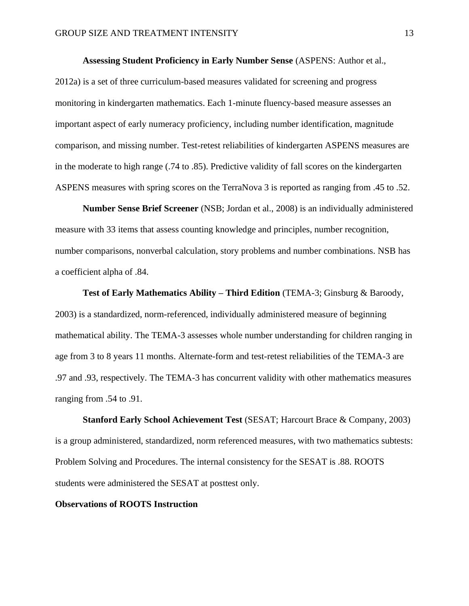# **Assessing Student Proficiency in Early Number Sense** (ASPENS: Author et al.,

2012a) is a set of three curriculum-based measures validated for screening and progress monitoring in kindergarten mathematics. Each 1-minute fluency-based measure assesses an important aspect of early numeracy proficiency, including number identification, magnitude comparison, and missing number. Test-retest reliabilities of kindergarten ASPENS measures are in the moderate to high range (.74 to .85). Predictive validity of fall scores on the kindergarten ASPENS measures with spring scores on the TerraNova 3 is reported as ranging from .45 to .52.

**Number Sense Brief Screener** (NSB; Jordan et al., 2008) is an individually administered measure with 33 items that assess counting knowledge and principles, number recognition, number comparisons, nonverbal calculation, story problems and number combinations. NSB has a coefficient alpha of .84.

**Test of Early Mathematics Ability – Third Edition** (TEMA-3; Ginsburg & Baroody, 2003) is a standardized, norm-referenced, individually administered measure of beginning mathematical ability. The TEMA-3 assesses whole number understanding for children ranging in age from 3 to 8 years 11 months. Alternate-form and test-retest reliabilities of the TEMA-3 are .97 and .93, respectively. The TEMA-3 has concurrent validity with other mathematics measures ranging from .54 to .91.

**Stanford Early School Achievement Test** (SESAT; Harcourt Brace & Company, 2003) is a group administered, standardized, norm referenced measures, with two mathematics subtests: Problem Solving and Procedures. The internal consistency for the SESAT is .88. ROOTS students were administered the SESAT at posttest only.

# **Observations of ROOTS Instruction**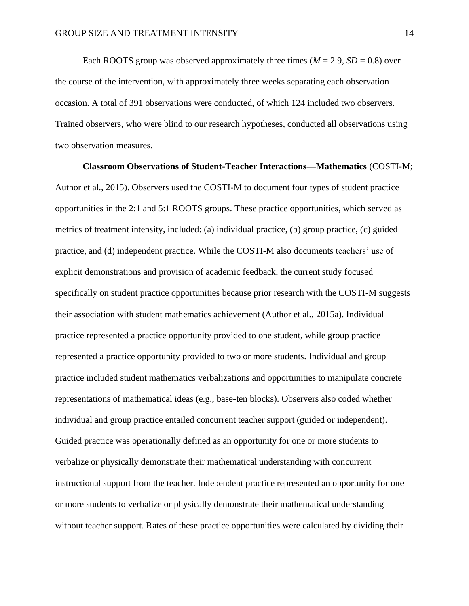Each ROOTS group was observed approximately three times  $(M = 2.9, SD = 0.8)$  over the course of the intervention, with approximately three weeks separating each observation occasion. A total of 391 observations were conducted, of which 124 included two observers. Trained observers, who were blind to our research hypotheses, conducted all observations using two observation measures.

**Classroom Observations of Student-Teacher Interactions—Mathematics** (COSTI-M; Author et al., 2015). Observers used the COSTI-M to document four types of student practice opportunities in the 2:1 and 5:1 ROOTS groups. These practice opportunities, which served as metrics of treatment intensity, included: (a) individual practice, (b) group practice, (c) guided practice, and (d) independent practice. While the COSTI-M also documents teachers' use of explicit demonstrations and provision of academic feedback, the current study focused specifically on student practice opportunities because prior research with the COSTI-M suggests their association with student mathematics achievement (Author et al., 2015a). Individual practice represented a practice opportunity provided to one student, while group practice represented a practice opportunity provided to two or more students. Individual and group practice included student mathematics verbalizations and opportunities to manipulate concrete representations of mathematical ideas (e.g., base-ten blocks). Observers also coded whether individual and group practice entailed concurrent teacher support (guided or independent). Guided practice was operationally defined as an opportunity for one or more students to verbalize or physically demonstrate their mathematical understanding with concurrent instructional support from the teacher. Independent practice represented an opportunity for one or more students to verbalize or physically demonstrate their mathematical understanding without teacher support. Rates of these practice opportunities were calculated by dividing their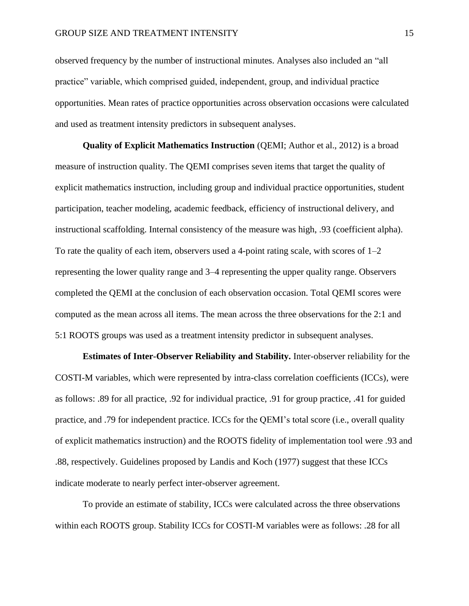observed frequency by the number of instructional minutes. Analyses also included an "all practice" variable, which comprised guided, independent, group, and individual practice opportunities. Mean rates of practice opportunities across observation occasions were calculated and used as treatment intensity predictors in subsequent analyses.

**Quality of Explicit Mathematics Instruction** (QEMI; Author et al., 2012) is a broad measure of instruction quality. The QEMI comprises seven items that target the quality of explicit mathematics instruction, including group and individual practice opportunities, student participation, teacher modeling, academic feedback, efficiency of instructional delivery, and instructional scaffolding. Internal consistency of the measure was high, .93 (coefficient alpha). To rate the quality of each item, observers used a 4-point rating scale, with scores of  $1-2$ representing the lower quality range and 3–4 representing the upper quality range. Observers completed the QEMI at the conclusion of each observation occasion. Total QEMI scores were computed as the mean across all items. The mean across the three observations for the 2:1 and 5:1 ROOTS groups was used as a treatment intensity predictor in subsequent analyses.

**Estimates of Inter-Observer Reliability and Stability.** Inter-observer reliability for the COSTI-M variables, which were represented by intra-class correlation coefficients (ICCs), were as follows: .89 for all practice, .92 for individual practice, .91 for group practice, .41 for guided practice, and .79 for independent practice. ICCs for the QEMI's total score (i.e., overall quality of explicit mathematics instruction) and the ROOTS fidelity of implementation tool were .93 and .88, respectively. Guidelines proposed by Landis and Koch (1977) suggest that these ICCs indicate moderate to nearly perfect inter-observer agreement.

To provide an estimate of stability, ICCs were calculated across the three observations within each ROOTS group. Stability ICCs for COSTI-M variables were as follows: .28 for all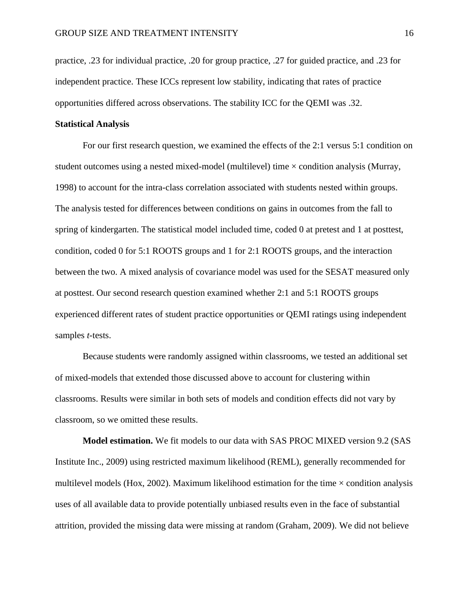practice, .23 for individual practice, .20 for group practice, .27 for guided practice, and .23 for independent practice. These ICCs represent low stability, indicating that rates of practice opportunities differed across observations. The stability ICC for the QEMI was .32.

# **Statistical Analysis**

For our first research question, we examined the effects of the 2:1 versus 5:1 condition on student outcomes using a nested mixed-model (multilevel) time  $\times$  condition analysis (Murray, 1998) to account for the intra-class correlation associated with students nested within groups. The analysis tested for differences between conditions on gains in outcomes from the fall to spring of kindergarten. The statistical model included time, coded 0 at pretest and 1 at posttest, condition, coded 0 for 5:1 ROOTS groups and 1 for 2:1 ROOTS groups, and the interaction between the two. A mixed analysis of covariance model was used for the SESAT measured only at posttest. Our second research question examined whether 2:1 and 5:1 ROOTS groups experienced different rates of student practice opportunities or QEMI ratings using independent samples *t-*tests.

Because students were randomly assigned within classrooms, we tested an additional set of mixed-models that extended those discussed above to account for clustering within classrooms. Results were similar in both sets of models and condition effects did not vary by classroom, so we omitted these results.

**Model estimation.** We fit models to our data with SAS PROC MIXED version 9.2 (SAS Institute Inc., 2009) using restricted maximum likelihood (REML), generally recommended for multilevel models (Hox, 2002). Maximum likelihood estimation for the time  $\times$  condition analysis uses of all available data to provide potentially unbiased results even in the face of substantial attrition, provided the missing data were missing at random (Graham, 2009). We did not believe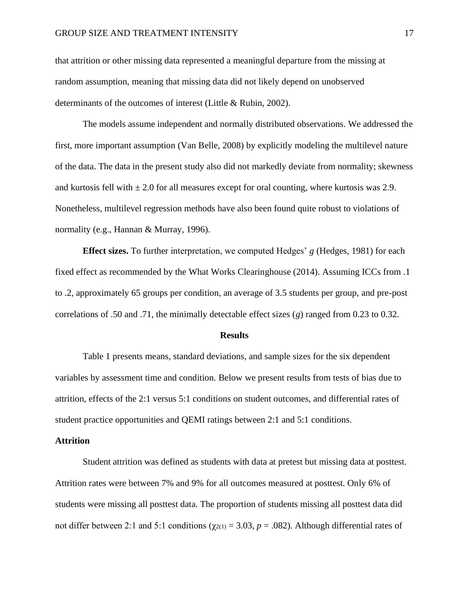that attrition or other missing data represented a meaningful departure from the missing at random assumption, meaning that missing data did not likely depend on unobserved determinants of the outcomes of interest (Little & Rubin, 2002).

The models assume independent and normally distributed observations. We addressed the first, more important assumption (Van Belle, 2008) by explicitly modeling the multilevel nature of the data. The data in the present study also did not markedly deviate from normality; skewness and kurtosis fell with  $\pm 2.0$  for all measures except for oral counting, where kurtosis was 2.9. Nonetheless, multilevel regression methods have also been found quite robust to violations of normality (e.g., Hannan & Murray, 1996).

**Effect sizes.** To further interpretation, we computed Hedges' *g* (Hedges, 1981) for each fixed effect as recommended by the What Works Clearinghouse (2014). Assuming ICCs from .1 to .2, approximately 65 groups per condition, an average of 3.5 students per group, and pre-post correlations of .50 and .71, the minimally detectable effect sizes (*g*) ranged from 0.23 to 0.32.

#### **Results**

Table 1 presents means, standard deviations, and sample sizes for the six dependent variables by assessment time and condition. Below we present results from tests of bias due to attrition, effects of the 2:1 versus 5:1 conditions on student outcomes, and differential rates of student practice opportunities and QEMI ratings between 2:1 and 5:1 conditions.

#### **Attrition**

Student attrition was defined as students with data at pretest but missing data at posttest. Attrition rates were between 7% and 9% for all outcomes measured at posttest. Only 6% of students were missing all posttest data. The proportion of students missing all posttest data did not differ between 2:1 and 5:1 conditions ( $χ_{2(1)} = 3.03$ ,  $p = .082$ ). Although differential rates of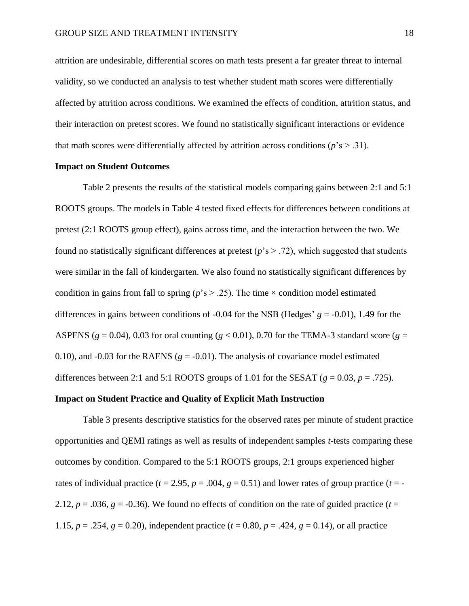attrition are undesirable, differential scores on math tests present a far greater threat to internal validity, so we conducted an analysis to test whether student math scores were differentially affected by attrition across conditions. We examined the effects of condition, attrition status, and their interaction on pretest scores. We found no statistically significant interactions or evidence that math scores were differentially affected by attrition across conditions ( $p$ 's  $> .31$ ).

# **Impact on Student Outcomes**

Table 2 presents the results of the statistical models comparing gains between 2:1 and 5:1 ROOTS groups. The models in Table 4 tested fixed effects for differences between conditions at pretest (2:1 ROOTS group effect), gains across time, and the interaction between the two. We found no statistically significant differences at pretest (*p*'s > .72), which suggested that students were similar in the fall of kindergarten. We also found no statistically significant differences by condition in gains from fall to spring ( $p$ 's  $> .25$ ). The time  $\times$  condition model estimated differences in gains between conditions of -0.04 for the NSB (Hedges' *g* = -0.01), 1.49 for the ASPENS ( $g = 0.04$ ), 0.03 for oral counting ( $g < 0.01$ ), 0.70 for the TEMA-3 standard score ( $g =$ 0.10), and -0.03 for the RAENS  $(g = -0.01)$ . The analysis of covariance model estimated differences between 2:1 and 5:1 ROOTS groups of 1.01 for the SESAT  $(g = 0.03, p = .725)$ .

## **Impact on Student Practice and Quality of Explicit Math Instruction**

Table 3 presents descriptive statistics for the observed rates per minute of student practice opportunities and QEMI ratings as well as results of independent samples *t*-tests comparing these outcomes by condition. Compared to the 5:1 ROOTS groups, 2:1 groups experienced higher rates of individual practice ( $t = 2.95$ ,  $p = .004$ ,  $q = 0.51$ ) and lower rates of group practice ( $t = -$ 2.12,  $p = .036$ ,  $g = -0.36$ ). We found no effects of condition on the rate of guided practice ( $t =$ 1.15,  $p = .254$ ,  $g = 0.20$ ), independent practice ( $t = 0.80$ ,  $p = .424$ ,  $g = 0.14$ ), or all practice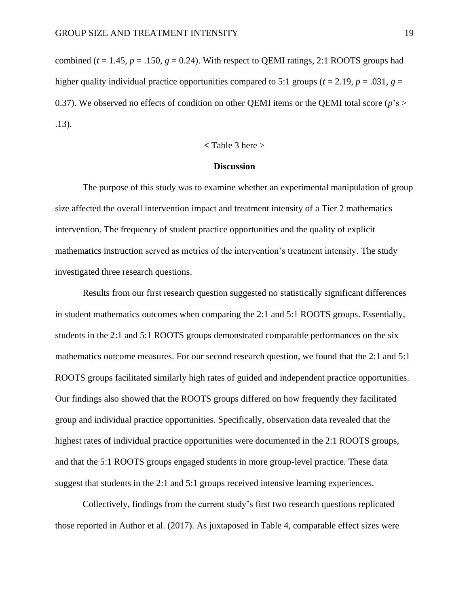combined ( $t = 1.45$ ,  $p = 0.150$ ,  $q = 0.24$ ). With respect to QEMI ratings, 2:1 ROOTS groups had higher quality individual practice opportunities compared to 5:1 groups ( $t = 2.19$ ,  $p = .031$ ,  $g =$ 0.37). We observed no effects of condition on other QEMI items or the QEMI total score ( $p$ 's > .13).

$$
<
$$
 Table 3 here  $>$ 

# **Discussion**

The purpose of this study was to examine whether an experimental manipulation of group size affected the overall intervention impact and treatment intensity of a Tier 2 mathematics intervention. The frequency of student practice opportunities and the quality of explicit mathematics instruction served as metrics of the intervention's treatment intensity. The study investigated three research questions.

Results from our first research question suggested no statistically significant differences in student mathematics outcomes when comparing the 2:1 and 5:1 ROOTS groups. Essentially, students in the 2:1 and 5:1 ROOTS groups demonstrated comparable performances on the six mathematics outcome measures. For our second research question, we found that the 2:1 and 5:1 ROOTS groups facilitated similarly high rates of guided and independent practice opportunities. Our findings also showed that the ROOTS groups differed on how frequently they facilitated group and individual practice opportunities. Specifically, observation data revealed that the highest rates of individual practice opportunities were documented in the 2:1 ROOTS groups, and that the 5:1 ROOTS groups engaged students in more group-level practice. These data suggest that students in the 2:1 and 5:1 groups received intensive learning experiences.

Collectively, findings from the current study's first two research questions replicated those reported in Author et al. (2017). As juxtaposed in Table 4, comparable effect sizes were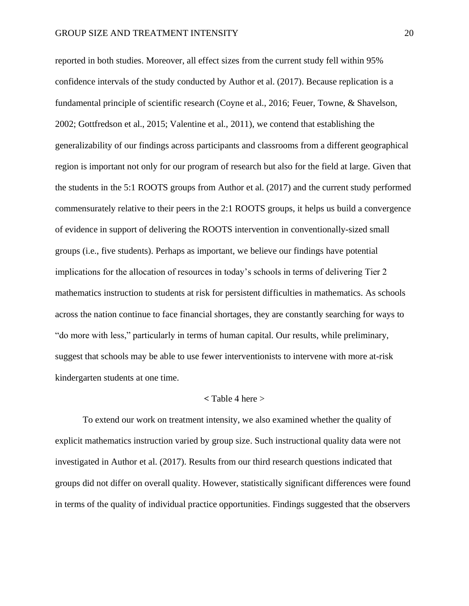reported in both studies. Moreover, all effect sizes from the current study fell within 95% confidence intervals of the study conducted by Author et al. (2017). Because replication is a fundamental principle of scientific research (Coyne et al., 2016; Feuer, Towne, & Shavelson, 2002; Gottfredson et al., 2015; Valentine et al., 2011), we contend that establishing the generalizability of our findings across participants and classrooms from a different geographical region is important not only for our program of research but also for the field at large. Given that the students in the 5:1 ROOTS groups from Author et al. (2017) and the current study performed commensurately relative to their peers in the 2:1 ROOTS groups, it helps us build a convergence of evidence in support of delivering the ROOTS intervention in conventionally-sized small groups (i.e., five students). Perhaps as important, we believe our findings have potential implications for the allocation of resources in today's schools in terms of delivering Tier 2 mathematics instruction to students at risk for persistent difficulties in mathematics. As schools across the nation continue to face financial shortages, they are constantly searching for ways to "do more with less," particularly in terms of human capital. Our results, while preliminary, suggest that schools may be able to use fewer interventionists to intervene with more at-risk kindergarten students at one time.

## **<** Table 4 here >

To extend our work on treatment intensity, we also examined whether the quality of explicit mathematics instruction varied by group size. Such instructional quality data were not investigated in Author et al. (2017). Results from our third research questions indicated that groups did not differ on overall quality. However, statistically significant differences were found in terms of the quality of individual practice opportunities. Findings suggested that the observers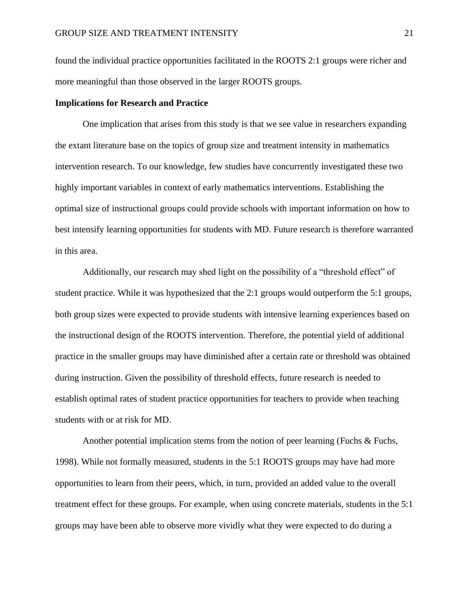found the individual practice opportunities facilitated in the ROOTS 2:1 groups were richer and more meaningful than those observed in the larger ROOTS groups.

## **Implications for Research and Practice**

One implication that arises from this study is that we see value in researchers expanding the extant literature base on the topics of group size and treatment intensity in mathematics intervention research. To our knowledge, few studies have concurrently investigated these two highly important variables in context of early mathematics interventions. Establishing the optimal size of instructional groups could provide schools with important information on how to best intensify learning opportunities for students with MD. Future research is therefore warranted in this area.

Additionally, our research may shed light on the possibility of a "threshold effect" of student practice. While it was hypothesized that the 2:1 groups would outperform the 5:1 groups, both group sizes were expected to provide students with intensive learning experiences based on the instructional design of the ROOTS intervention. Therefore, the potential yield of additional practice in the smaller groups may have diminished after a certain rate or threshold was obtained during instruction. Given the possibility of threshold effects, future research is needed to establish optimal rates of student practice opportunities for teachers to provide when teaching students with or at risk for MD.

Another potential implication stems from the notion of peer learning (Fuchs & Fuchs, 1998). While not formally measured, students in the 5:1 ROOTS groups may have had more opportunities to learn from their peers, which, in turn, provided an added value to the overall treatment effect for these groups. For example, when using concrete materials, students in the 5:1 groups may have been able to observe more vividly what they were expected to do during a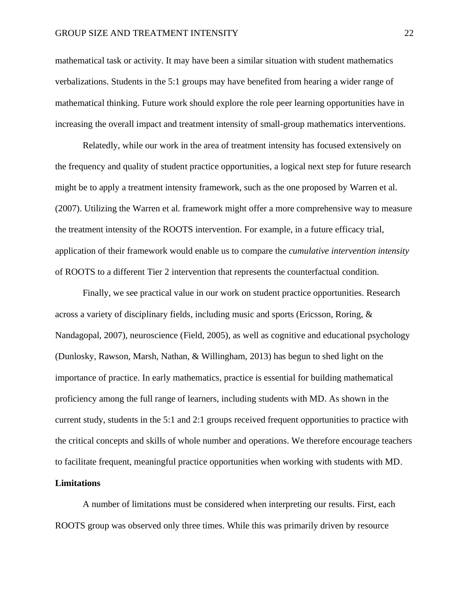mathematical task or activity. It may have been a similar situation with student mathematics verbalizations. Students in the 5:1 groups may have benefited from hearing a wider range of mathematical thinking. Future work should explore the role peer learning opportunities have in increasing the overall impact and treatment intensity of small-group mathematics interventions.

Relatedly, while our work in the area of treatment intensity has focused extensively on the frequency and quality of student practice opportunities, a logical next step for future research might be to apply a treatment intensity framework, such as the one proposed by Warren et al. (2007). Utilizing the Warren et al. framework might offer a more comprehensive way to measure the treatment intensity of the ROOTS intervention. For example, in a future efficacy trial, application of their framework would enable us to compare the *cumulative intervention intensity* of ROOTS to a different Tier 2 intervention that represents the counterfactual condition.

Finally, we see practical value in our work on student practice opportunities. Research across a variety of disciplinary fields, including music and sports (Ericsson, Roring, & Nandagopal, 2007), neuroscience (Field, 2005), as well as cognitive and educational psychology (Dunlosky, Rawson, Marsh, Nathan, & Willingham, 2013) has begun to shed light on the importance of practice. In early mathematics, practice is essential for building mathematical proficiency among the full range of learners, including students with MD. As shown in the current study, students in the 5:1 and 2:1 groups received frequent opportunities to practice with the critical concepts and skills of whole number and operations. We therefore encourage teachers to facilitate frequent, meaningful practice opportunities when working with students with MD.

## **Limitations**

A number of limitations must be considered when interpreting our results. First, each ROOTS group was observed only three times. While this was primarily driven by resource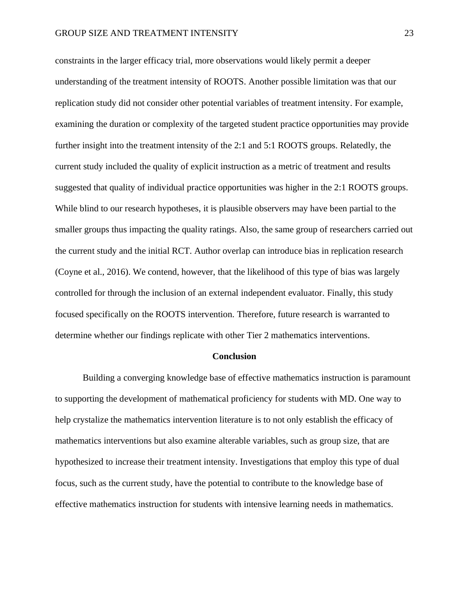constraints in the larger efficacy trial, more observations would likely permit a deeper understanding of the treatment intensity of ROOTS. Another possible limitation was that our replication study did not consider other potential variables of treatment intensity. For example, examining the duration or complexity of the targeted student practice opportunities may provide further insight into the treatment intensity of the 2:1 and 5:1 ROOTS groups. Relatedly, the current study included the quality of explicit instruction as a metric of treatment and results suggested that quality of individual practice opportunities was higher in the 2:1 ROOTS groups. While blind to our research hypotheses, it is plausible observers may have been partial to the smaller groups thus impacting the quality ratings. Also, the same group of researchers carried out the current study and the initial RCT. Author overlap can introduce bias in replication research (Coyne et al., 2016). We contend, however, that the likelihood of this type of bias was largely controlled for through the inclusion of an external independent evaluator. Finally, this study focused specifically on the ROOTS intervention. Therefore, future research is warranted to determine whether our findings replicate with other Tier 2 mathematics interventions.

#### **Conclusion**

Building a converging knowledge base of effective mathematics instruction is paramount to supporting the development of mathematical proficiency for students with MD. One way to help crystalize the mathematics intervention literature is to not only establish the efficacy of mathematics interventions but also examine alterable variables, such as group size, that are hypothesized to increase their treatment intensity. Investigations that employ this type of dual focus, such as the current study, have the potential to contribute to the knowledge base of effective mathematics instruction for students with intensive learning needs in mathematics.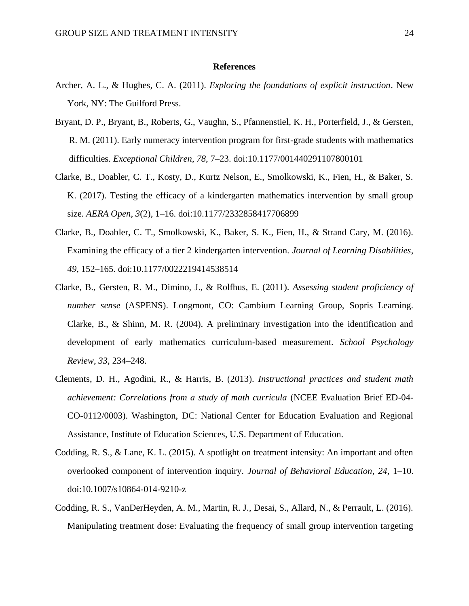#### **References**

- Archer, A. L., & Hughes, C. A. (2011). *Exploring the foundations of explicit instruction*. New York, NY: The Guilford Press.
- Bryant, D. P., Bryant, B., Roberts, G., Vaughn, S., Pfannenstiel, K. H., Porterfield, J., & Gersten, R. M. (2011). Early numeracy intervention program for first-grade students with mathematics difficulties. *Exceptional Children*, *78*, 7–23. doi:10.1177/001440291107800101
- Clarke, B., Doabler, C. T., Kosty, D., Kurtz Nelson, E., Smolkowski, K., Fien, H., & Baker, S. K. (2017). Testing the efficacy of a kindergarten mathematics intervention by small group size. *AERA Open*, *3*(2), 1–16. doi:10.1177/2332858417706899
- Clarke, B., Doabler, C. T., Smolkowski, K., Baker, S. K., Fien, H., & Strand Cary, M. (2016). Examining the efficacy of a tier 2 kindergarten intervention. *Journal of Learning Disabilities*, *49*, 152–165. doi:10.1177/0022219414538514
- Clarke, B., Gersten, R. M., Dimino, J., & Rolfhus, E. (2011). *Assessing student proficiency of number sense* (ASPENS). Longmont, CO: Cambium Learning Group, Sopris Learning. Clarke, B., & Shinn, M. R. (2004). A preliminary investigation into the identification and development of early mathematics curriculum-based measurement. *School Psychology Review*, *33*, 234–248.
- Clements, D. H., Agodini, R., & Harris, B. (2013). *Instructional practices and student math achievement: Correlations from a study of math curricula* (NCEE Evaluation Brief ED-04- CO-0112/0003). Washington, DC: National Center for Education Evaluation and Regional Assistance, Institute of Education Sciences, U.S. Department of Education.
- Codding, R. S., & Lane, K. L. (2015). A spotlight on treatment intensity: An important and often overlooked component of intervention inquiry. *Journal of Behavioral Education*, *24*, 1–10. doi:10.1007/s10864-014-9210-z
- Codding, R. S., VanDerHeyden, A. M., Martin, R. J., Desai, S., Allard, N., & Perrault, L. (2016). Manipulating treatment dose: Evaluating the frequency of small group intervention targeting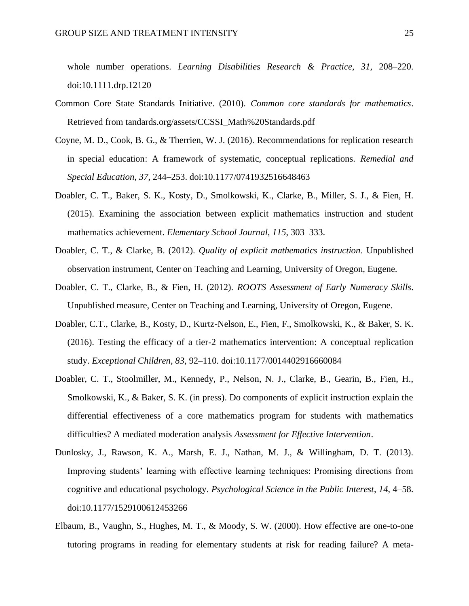whole number operations. *Learning Disabilities Research & Practice*, *31*, 208–220. doi:10.1111.drp.12120

- Common Core State Standards Initiative. (2010). *Common core standards for mathematics*. Retrieved from [tandards.org/assets/CCSSI\\_Math%20Standards.pdf](http://www.corestandards.org/assets/CCSSI_Math%20Standards.pdf)
- Coyne, M. D., Cook, B. G., & Therrien, W. J. (2016). Recommendations for replication research in special education: A framework of systematic, conceptual replications. *Remedial and Special Education*, *37*, 244–253. doi:10.1177/0741932516648463
- Doabler, C. T., Baker, S. K., Kosty, D., Smolkowski, K., Clarke, B., Miller, S. J., & Fien, H. (2015). Examining the association between explicit mathematics instruction and student mathematics achievement. *Elementary School Journal*, *115*, 303–333.
- Doabler, C. T., & Clarke, B. (2012). *Quality of explicit mathematics instruction*. Unpublished observation instrument, Center on Teaching and Learning, University of Oregon, Eugene.
- Doabler, C. T., Clarke, B., & Fien, H. (2012). *ROOTS Assessment of Early Numeracy Skills*. Unpublished measure, Center on Teaching and Learning, University of Oregon, Eugene.
- Doabler, C.T., Clarke, B., Kosty, D., Kurtz-Nelson, E., Fien, F., Smolkowski, K., & Baker, S. K. (2016). Testing the efficacy of a tier-2 mathematics intervention: A conceptual replication study. *Exceptional Children*, *83*, 92–110. doi:10.1177/0014402916660084
- Doabler, C. T., Stoolmiller, M., Kennedy, P., Nelson, N. J., Clarke, B., Gearin, B., Fien, H., Smolkowski, K., & Baker, S. K. (in press). Do components of explicit instruction explain the differential effectiveness of a core mathematics program for students with mathematics difficulties? A mediated moderation analysis *Assessment for Effective Intervention*.
- Dunlosky, J., Rawson, K. A., Marsh, E. J., Nathan, M. J., & Willingham, D. T. (2013). Improving students' learning with effective learning techniques: Promising directions from cognitive and educational psychology. *Psychological Science in the Public Interest*, *14*, 4–58. doi:10.1177/1529100612453266
- Elbaum, B., Vaughn, S., Hughes, M. T., & Moody, S. W. (2000). How effective are one-to-one tutoring programs in reading for elementary students at risk for reading failure? A meta-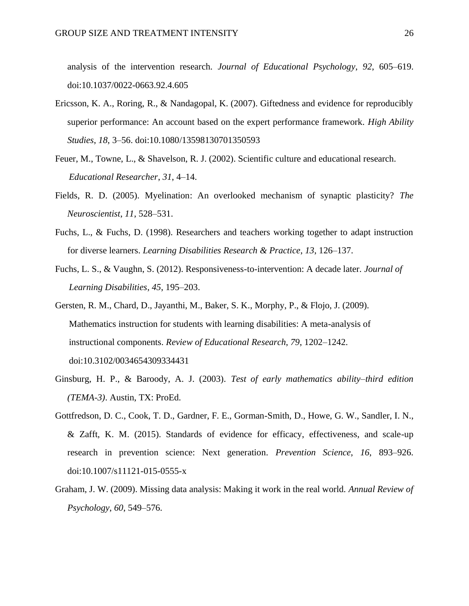analysis of the intervention research. *Journal of Educational Psychology*, *92*, 605–619. doi:10.1037/0022-0663.92.4.605

- Ericsson, K. A., Roring, R., & Nandagopal, K. (2007). Giftedness and evidence for reproducibly superior performance: An account based on the expert performance framework. *High Ability Studies*, *18*, 3–56. doi:10.1080/13598130701350593
- Feuer, M., Towne, L., & Shavelson, R. J. (2002). Scientific culture and educational research. *Educational Researcher*, *31*, 4–14.
- Fields, R. D. (2005). Myelination: An overlooked mechanism of synaptic plasticity? *The Neuroscientist*, *11*, 528–531.
- Fuchs, L., & Fuchs, D. (1998). Researchers and teachers working together to adapt instruction for diverse learners. *Learning Disabilities Research & Practice*, *13*, 126–137.
- Fuchs, L. S., & Vaughn, S. (2012). Responsiveness-to-intervention: A decade later. *Journal of Learning Disabilities*, *45*, 195–203.
- Gersten, R. M., Chard, D., Jayanthi, M., Baker, S. K., Morphy, P., & Flojo, J. (2009). Mathematics instruction for students with learning disabilities: A meta-analysis of instructional components. *Review of Educational Research*, *79*, 1202–1242. doi:10.3102/0034654309334431
- Ginsburg, H. P., & Baroody, A. J. (2003). *Test of early mathematics ability–third edition (TEMA-3)*. Austin, TX: ProEd.
- Gottfredson, D. C., Cook, T. D., Gardner, F. E., Gorman-Smith, D., Howe, G. W., Sandler, I. N., & Zafft, K. M. (2015). Standards of evidence for efficacy, effectiveness, and scale-up research in prevention science: Next generation. *Prevention Science*, *16*, 893–926. doi:10.1007/s11121-015-0555-x
- Graham, J. W. (2009). Missing data analysis: Making it work in the real world. *Annual Review of Psychology*, *60*, 549–576.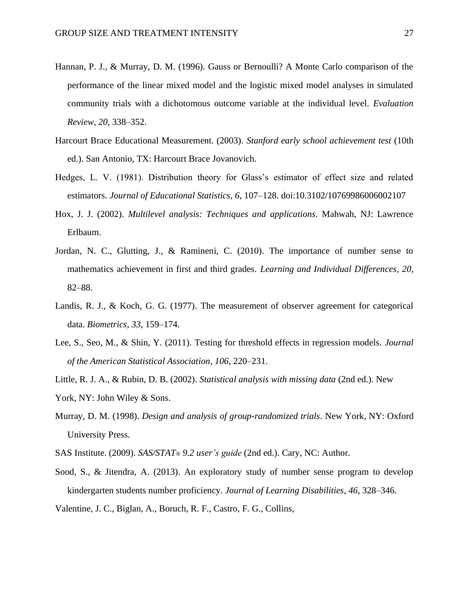- Hannan, P. J., & Murray, D. M. (1996). Gauss or Bernoulli? A Monte Carlo comparison of the performance of the linear mixed model and the logistic mixed model analyses in simulated community trials with a dichotomous outcome variable at the individual level. *Evaluation Review*, *20*, 338–352.
- Harcourt Brace Educational Measurement. (2003). *Stanford early school achievement test* (10th ed.). San Antonio, TX: Harcourt Brace Jovanovich.
- Hedges, L. V. (1981). Distribution theory for Glass's estimator of effect size and related estimators. *Journal of Educational Statistics*, *6*, 107–128. doi:10.3102/10769986006002107
- Hox, J. J. (2002). *Multilevel analysis: Techniques and applications*. Mahwah, NJ: Lawrence Erlbaum.
- Jordan, N. C., Glutting, J., & Ramineni, C. (2010). The importance of number sense to mathematics achievement in first and third grades. *Learning and Individual Differences*, *20*, 82–88.
- Landis, R. J., & Koch, G. G. (1977). The measurement of observer agreement for categorical data. *Biometrics*, *33*, 159–174.
- Lee, S., Seo, M., & Shin, Y. (2011). Testing for threshold effects in regression models. *Journal of the American Statistical Association*, *106*, 220–231.
- Little, R. J. A., & Rubin, D. B. (2002). *Statistical analysis with missing data* (2nd ed.). New York, NY: John Wiley & Sons.
- Murray, D. M. (1998). *Design and analysis of group-randomized trials*. New York, NY: Oxford University Press.
- SAS Institute. (2009). *SAS/STAT*® *9.2 user's guide* (2nd ed.). Cary, NC: Author.
- Sood, S., & Jitendra, A. (2013). An exploratory study of number sense program to develop kindergarten students number proficiency. *Journal of Learning Disabilities*, *46*, 328–346.
- Valentine, J. C., Biglan, A., Boruch, R. F., Castro, F. G., Collins,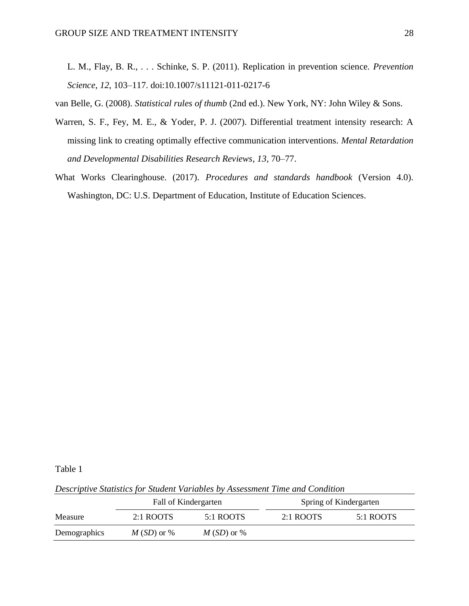L. M., Flay, B. R., . . . Schinke, S. P. (2011). Replication in prevention science. *Prevention Science*, *12*, 103–117. doi:10.1007/s11121-011-0217-6

van Belle, G. (2008). *Statistical rules of thumb* (2nd ed.). New York, NY: John Wiley & Sons.

- Warren, S. F., Fey, M. E., & Yoder, P. J. (2007). Differential treatment intensity research: A missing link to creating optimally effective communication interventions. *Mental Retardation and Developmental Disabilities Research Reviews*, *13*, 70–77.
- What Works Clearinghouse. (2017). *Procedures and standards handbook* (Version 4.0). Washington, DC: U.S. Department of Education, Institute of Education Sciences.

Table 1

*Descriptive Statistics for Student Variables by Assessment Time and Condition*

|              | Fall of Kindergarten |              | Spring of Kindergarten |           |  |
|--------------|----------------------|--------------|------------------------|-----------|--|
| Measure      | $2:1$ ROOTS          | 5:1 ROOTS    | $2:1$ ROOTS            | 5:1 ROOTS |  |
| Demographics | $M(SD)$ or %         | $M(SD)$ or % |                        |           |  |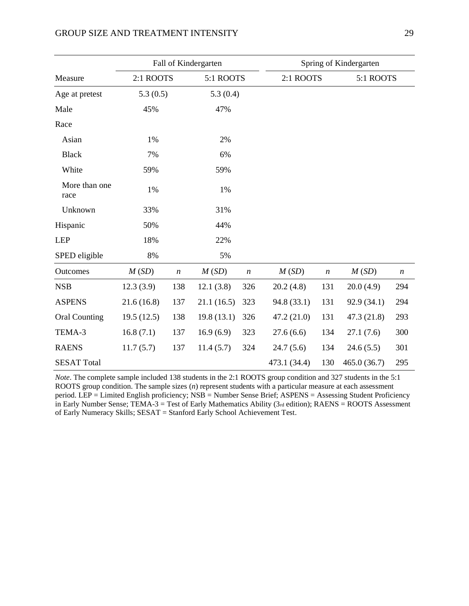|                       | Fall of Kindergarten |                  |                  |                  | Spring of Kindergarten |                  |             |                  |
|-----------------------|----------------------|------------------|------------------|------------------|------------------------|------------------|-------------|------------------|
| Measure               | 2:1 ROOTS            |                  | 5:1 ROOTS        |                  | 2:1 ROOTS              |                  | 5:1 ROOTS   |                  |
| Age at pretest        | 5.3(0.5)             |                  | 5.3(0.4)         |                  |                        |                  |             |                  |
| Male                  | 45%                  |                  | 47%              |                  |                        |                  |             |                  |
| Race                  |                      |                  |                  |                  |                        |                  |             |                  |
| Asian                 | 1%                   |                  | 2%               |                  |                        |                  |             |                  |
| <b>Black</b>          | 7%                   |                  | 6%               |                  |                        |                  |             |                  |
| White                 | 59%                  |                  | 59%              |                  |                        |                  |             |                  |
| More than one<br>race | 1%                   |                  | 1%               |                  |                        |                  |             |                  |
| Unknown               | 33%                  |                  | 31%              |                  |                        |                  |             |                  |
| Hispanic              | 50%                  |                  | 44%              |                  |                        |                  |             |                  |
| <b>LEP</b>            | 18%                  |                  | 22%              |                  |                        |                  |             |                  |
| SPED eligible         | 8%                   |                  | 5%               |                  |                        |                  |             |                  |
| Outcomes              | M(SD)                | $\boldsymbol{n}$ | M(SD)            | $\boldsymbol{n}$ | M(SD)                  | $\boldsymbol{n}$ | M(SD)       | $\boldsymbol{n}$ |
| <b>NSB</b>            | 12.3(3.9)            | 138              | 12.1(3.8)        | 326              | 20.2(4.8)              | 131              | 20.0(4.9)   | 294              |
| <b>ASPENS</b>         | 21.6(16.8)           | 137              | 21.1(16.5)       | 323              | 94.8 (33.1)            | 131              | 92.9 (34.1) | 294              |
| <b>Oral Counting</b>  | 19.5(12.5)           | 138              | 19.8(13.1)       | 326              | 47.2 (21.0)            | 131              | 47.3 (21.8) | 293              |
| TEMA-3                | 16.8(7.1)            | 137              | 16.9(6.9)        | 323              | 27.6(6.6)              | 134              | 27.1(7.6)   | 300              |
| <b>RAENS</b>          | 11.7(5.7)            | 137              | 324<br>11.4(5.7) |                  | 24.7(5.6)              | 134              | 24.6(5.5)   | 301              |
| <b>SESAT Total</b>    |                      |                  |                  |                  | 473.1 (34.4)           | 130              | 465.0(36.7) | 295              |

#### *Note*. The complete sample included 138 students in the 2:1 ROOTS group condition and 327 students in the 5:1 ROOTS group condition. The sample sizes (*n*) represent students with a particular measure at each assessment period. LEP = Limited English proficiency; NSB = Number Sense Brief; ASPENS = Assessing Student Proficiency in Early Number Sense; TEMA-3 = Test of Early Mathematics Ability (3rd edition); RAENS = ROOTS Assessment of Early Numeracy Skills; SESAT = Stanford Early School Achievement Test.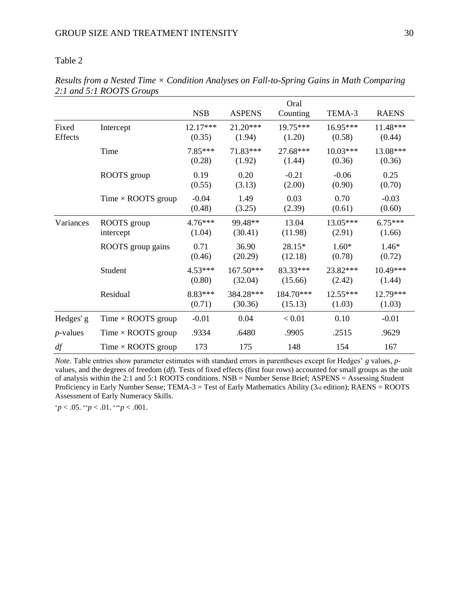# Table 2

|                  |                           | <b>NSB</b>          | <b>ASPENS</b>        | Oral<br>Counting     | TEMA-3               | <b>RAENS</b>        |
|------------------|---------------------------|---------------------|----------------------|----------------------|----------------------|---------------------|
| Fixed<br>Effects | Intercept                 | 12.17***<br>(0.35)  | $21.20***$<br>(1.94) | 19.75***<br>(1.20)   | 16.95***<br>(0.58)   | 11.48***<br>(0.44)  |
|                  | Time                      | 7.85***<br>(0.28)   | 71.83***<br>(1.92)   | 27.68***<br>(1.44)   | $10.03***$<br>(0.36) | 13.08***<br>(0.36)  |
|                  | ROOTS group               | 0.19<br>(0.55)      | 0.20<br>(3.13)       | $-0.21$<br>(2.00)    | $-0.06$<br>(0.90)    | 0.25<br>(0.70)      |
|                  | Time $\times$ ROOTS group | $-0.04$<br>(0.48)   | 1.49<br>(3.25)       | 0.03<br>(2.39)       | 0.70<br>(0.61)       | $-0.03$<br>(0.60)   |
| Variances        | ROOTS group<br>intercept  | 4.76***<br>(1.04)   | 99.48**<br>(30.41)   | 13.04<br>(11.98)     | 13.05***<br>(2.91)   | $6.75***$<br>(1.66) |
|                  | ROOTS group gains         | 0.71<br>(0.46)      | 36.90<br>(20.29)     | 28.15*<br>(12.18)    | $1.60*$<br>(0.78)    | $1.46*$<br>(0.72)   |
|                  | Student                   | $4.53***$<br>(0.80) | 167.50***<br>(32.04) | 83.33***<br>(15.66)  | 23.82***<br>(2.42)   | 10.49***<br>(1.44)  |
|                  | Residual                  | 8.83***<br>(0.71)   | 384.28***<br>(30.36) | 184.70***<br>(15.13) | 12.55***<br>(1.03)   | 12.79***<br>(1.03)  |
| Hedges' g        | Time $\times$ ROOTS group | $-0.01$             | 0.04                 | < 0.01               | 0.10                 | $-0.01$             |
| $p$ -values      | Time $\times$ ROOTS group | .9334               | .6480                | .9905                | .2515                | .9629               |
| df               | Time $\times$ ROOTS group | 173                 | 175                  | 148                  | 154                  | 167                 |

*Results from a Nested Time × Condition Analyses on Fall-to-Spring Gains in Math Comparing 2:1 and 5:1 ROOTS Groups*

*Note*. Table entries show parameter estimates with standard errors in parentheses except for Hedges' *g* values, *p*values, and the degrees of freedom (*df*). Tests of fixed effects (first four rows) accounted for small groups as the unit of analysis within the 2:1 and 5:1 ROOTS conditions. NSB = Number Sense Brief; ASPENS = Assessing Student Proficiency in Early Number Sense; TEMA-3 = Test of Early Mathematics Ability ( $3<sub>rd</sub>$  edition); RAENS = ROOTS Assessment of Early Numeracy Skills.

<sup>∗</sup>*p* < .05. ∗∗*p* < .01. ∗∗∗*p* < .001.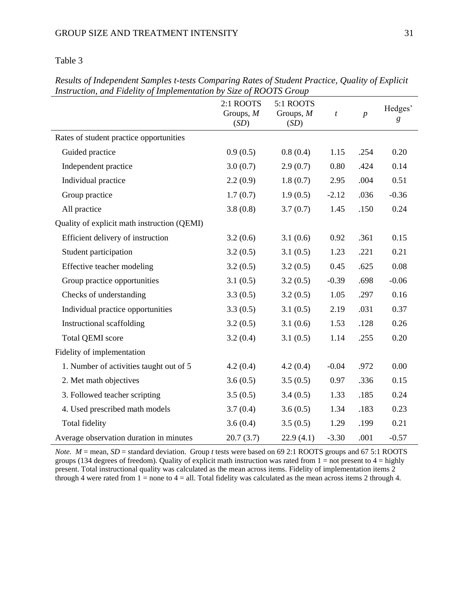# Table 3

| sh achon, and I tacht) of Imprementation by Buje of Ito 0 IB STOMP | 2:1 ROOTS<br>Groups, $M$<br>(SD) | 5:1 ROOTS<br>Groups, $M$<br>(SD) | $\boldsymbol{t}$ | $\boldsymbol{p}$ | Hedges'<br>$\boldsymbol{g}$ |
|--------------------------------------------------------------------|----------------------------------|----------------------------------|------------------|------------------|-----------------------------|
| Rates of student practice opportunities                            |                                  |                                  |                  |                  |                             |
| Guided practice                                                    | 0.9(0.5)                         | 0.8(0.4)                         | 1.15             | .254             | 0.20                        |
| Independent practice                                               | 3.0(0.7)                         | 2.9(0.7)                         | 0.80             | .424             | 0.14                        |
| Individual practice                                                | 2.2(0.9)                         | 1.8(0.7)                         | 2.95             | .004             | 0.51                        |
| Group practice                                                     | 1.7(0.7)                         | 1.9(0.5)                         | $-2.12$          | .036             | $-0.36$                     |
| All practice                                                       | 3.8(0.8)                         | 3.7(0.7)                         | 1.45             | .150             | 0.24                        |
| Quality of explicit math instruction (QEMI)                        |                                  |                                  |                  |                  |                             |
| Efficient delivery of instruction                                  | 3.2(0.6)                         | 3.1(0.6)                         | 0.92             | .361             | 0.15                        |
| Student participation                                              | 3.2(0.5)                         | 3.1(0.5)                         | 1.23             | .221             | 0.21                        |
| Effective teacher modeling                                         | 3.2(0.5)                         | 3.2(0.5)                         | 0.45             | .625             | 0.08                        |
| Group practice opportunities                                       | 3.1(0.5)                         | 3.2(0.5)                         | $-0.39$          | .698             | $-0.06$                     |
| Checks of understanding                                            | 3.3(0.5)                         | 3.2(0.5)                         | 1.05             | .297             | 0.16                        |
| Individual practice opportunities                                  | 3.3(0.5)                         | 3.1(0.5)                         | 2.19             | .031             | 0.37                        |
| Instructional scaffolding                                          | 3.2(0.5)                         | 3.1(0.6)                         | 1.53             | .128             | 0.26                        |
| <b>Total QEMI</b> score                                            | 3.2(0.4)                         | 3.1(0.5)                         | 1.14             | .255             | 0.20                        |
| Fidelity of implementation                                         |                                  |                                  |                  |                  |                             |
| 1. Number of activities taught out of 5                            | 4.2(0.4)                         | 4.2(0.4)                         | $-0.04$          | .972             | 0.00                        |
| 2. Met math objectives                                             | 3.6(0.5)                         | 3.5(0.5)                         | 0.97             | .336             | 0.15                        |
| 3. Followed teacher scripting                                      | 3.5(0.5)                         | 3.4(0.5)                         | 1.33             | .185             | 0.24                        |
| 4. Used prescribed math models                                     | 3.7(0.4)                         | 3.6(0.5)                         | 1.34             | .183             | 0.23                        |
| <b>Total fidelity</b>                                              | 3.6(0.4)                         | 3.5(0.5)                         | 1.29             | .199             | 0.21                        |
| Average observation duration in minutes                            | 20.7(3.7)                        | 22.9(4.1)                        | $-3.30$          | .001             | $-0.57$                     |

*Results of Independent Samples t-tests Comparing Rates of Student Practice, Quality of Explicit Instruction, and Fidelity of Implementation by Size of ROOTS Group*

*Note.*  $M =$  mean, *SD* = standard deviation. Group *t* tests were based on 69 2:1 ROOTS groups and 67 5:1 ROOTS groups (134 degrees of freedom). Quality of explicit math instruction was rated from  $1 = not$  present to  $4 =$  highly present. Total instructional quality was calculated as the mean across items. Fidelity of implementation items 2 through 4 were rated from  $1 =$  none to  $4 =$  all. Total fidelity was calculated as the mean across items 2 through 4.